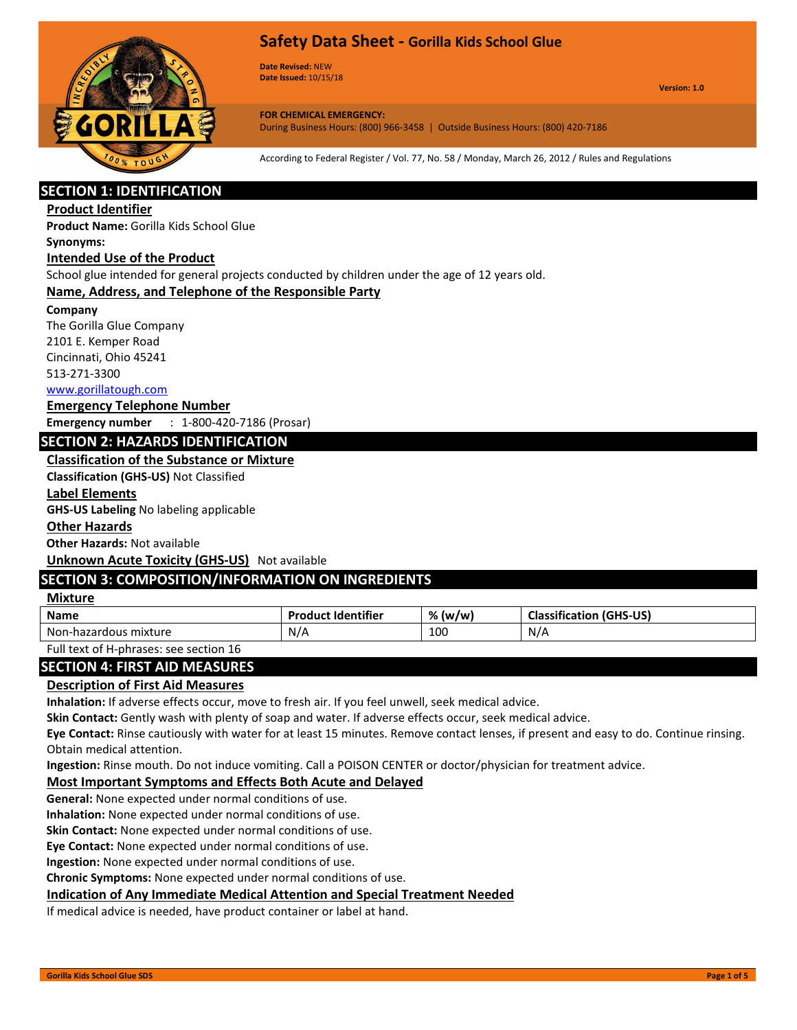

**Date Revised:** NEW **Date Issued:** 10/15/18

**Version: 1.0**

**FOR CHEMICAL EMERGENCY:** During Business Hours: (800) 966-3458 | Outside Business Hours: (800) 420-7186

According to Federal Register / Vol. 77, No. 58 / Monday, March 26, 2012 / Rules and Regulations

# **SECTION 1: IDENTIFICATION**

#### **Product Identifier**

**Product Name:** Gorilla Kids School Glue

### **Synonyms:**

#### **Intended Use of the Product**

School glue intended for general projects conducted by children under the age of 12 years old.

### **Name, Address, and Telephone of the Responsible Party**

#### **Company**

The Gorilla Glue Company 2101 E. Kemper Road Cincinnati, Ohio 45241 513-271-3300

#### [www.gorillatough.com](http://www.gorillatough.com/)

**Emergency Telephone Number Emergency number** : 1-800-420-7186 (Prosar)

## **SECTION 2: HAZARDS IDENTIFICATION**

### **Classification of the Substance or Mixture**

**Classification (GHS-US)** Not Classified

#### **Label Elements**

**GHS-US Labeling** No labeling applicable

#### **Other Hazards**

**Other Hazards:** Not available

**Unknown Acute Toxicity (GHS-US)** Not available

# **SECTION 3: COMPOSITION/INFORMATION ON INGREDIENTS**

## **Mixture**

| <b>Name</b>                     | <b>Product Identifier</b> | %<br>, (w/w) | Classification<br>(GHS-US) |
|---------------------------------|---------------------------|--------------|----------------------------|
| Nor<br>; mixture<br>-hazardous. | N/A                       | 100          | N/A                        |
|                                 |                           |              |                            |

Full text of H-phrases: see section 16

## **SECTION 4: FIRST AID MEASURES**

### **Description of First Aid Measures**

**Inhalation:** If adverse effects occur, move to fresh air. If you feel unwell, seek medical advice.

**Skin Contact:** Gently wash with plenty of soap and water. If adverse effects occur, seek medical advice.

**Eye Contact:** Rinse cautiously with water for at least 15 minutes. Remove contact lenses, if present and easy to do. Continue rinsing. Obtain medical attention.

**Ingestion:** Rinse mouth. Do not induce vomiting. Call a POISON CENTER or doctor/physician for treatment advice.

### **Most Important Symptoms and Effects Both Acute and Delayed**

**General:** None expected under normal conditions of use.

**Inhalation:** None expected under normal conditions of use.

**Skin Contact:** None expected under normal conditions of use.

**Eye Contact:** None expected under normal conditions of use.

**Ingestion:** None expected under normal conditions of use.

**Chronic Symptoms:** None expected under normal conditions of use.

### **Indication of Any Immediate Medical Attention and Special Treatment Needed**

If medical advice is needed, have product container or label at hand.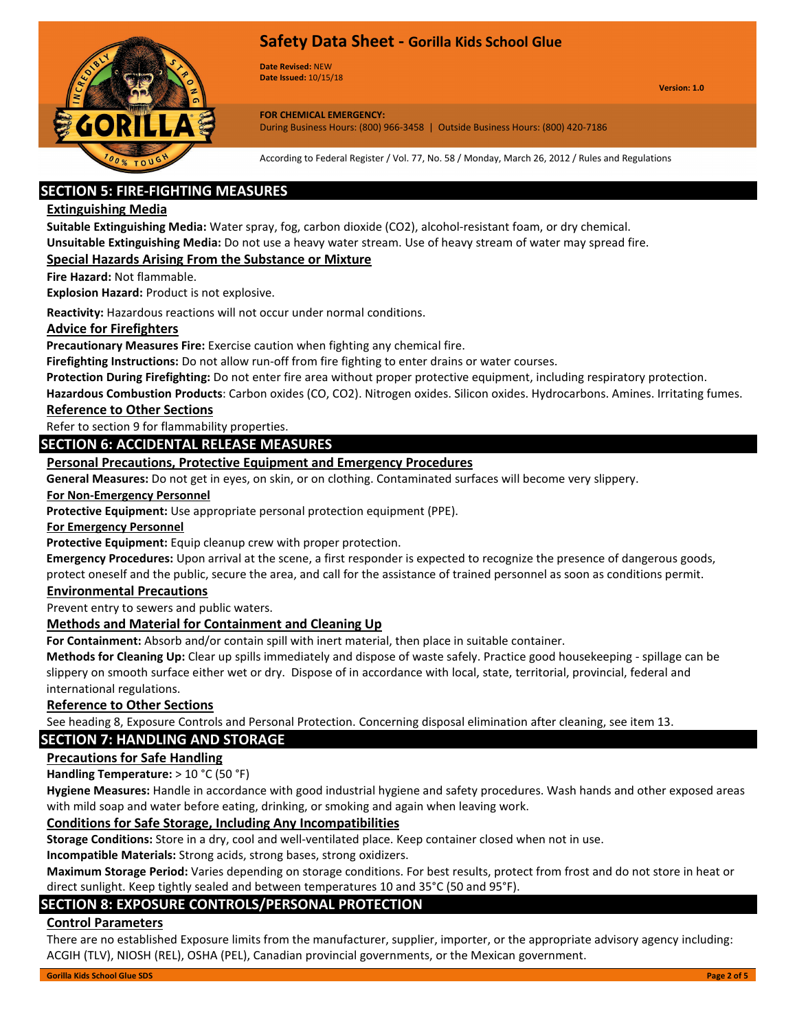

**Date Revised:** NEW **Date Issued:** 10/15/18

**Version: 1.0**

**FOR CHEMICAL EMERGENCY:** During Business Hours: (800) 966-3458 | Outside Business Hours: (800) 420-7186

According to Federal Register / Vol. 77, No. 58 / Monday, March 26, 2012 / Rules and Regulations

# **SECTION 5: FIRE-FIGHTING MEASURES**

### **Extinguishing Media**

**Suitable Extinguishing Media:** Water spray, fog, carbon dioxide (CO2), alcohol-resistant foam, or dry chemical.

**Unsuitable Extinguishing Media:** Do not use a heavy water stream. Use of heavy stream of water may spread fire.

### **Special Hazards Arising From the Substance or Mixture**

**Fire Hazard:** Not flammable.

**Explosion Hazard:** Product is not explosive.

**Reactivity:** Hazardous reactions will not occur under normal conditions.

### **Advice for Firefighters**

**Precautionary Measures Fire:** Exercise caution when fighting any chemical fire.

**Firefighting Instructions:** Do not allow run-off from fire fighting to enter drains or water courses.

**Protection During Firefighting:** Do not enter fire area without proper protective equipment, including respiratory protection.

**Hazardous Combustion Products**: Carbon oxides (CO, CO2). Nitrogen oxides. Silicon oxides. Hydrocarbons. Amines. Irritating fumes. **Reference to Other Sections**

Refer to section 9 for flammability properties.

## **SECTION 6: ACCIDENTAL RELEASE MEASURES**

## **Personal Precautions, Protective Equipment and Emergency Procedures**

**General Measures:** Do not get in eyes, on skin, or on clothing. Contaminated surfaces will become very slippery.

#### **For Non-Emergency Personnel**

**Protective Equipment:** Use appropriate personal protection equipment (PPE).

### **For Emergency Personnel**

**Protective Equipment:** Equip cleanup crew with proper protection.

**Emergency Procedures:** Upon arrival at the scene, a first responder is expected to recognize the presence of dangerous goods, protect oneself and the public, secure the area, and call for the assistance of trained personnel as soon as conditions permit.

### **Environmental Precautions**

Prevent entry to sewers and public waters.

### **Methods and Material for Containment and Cleaning Up**

**For Containment:** Absorb and/or contain spill with inert material, then place in suitable container.

**Methods for Cleaning Up:** Clear up spills immediately and dispose of waste safely. Practice good housekeeping - spillage can be slippery on smooth surface either wet or dry. Dispose of in accordance with local, state, territorial, provincial, federal and international regulations.

### **Reference to Other Sections**

See heading 8, Exposure Controls and Personal Protection. Concerning disposal elimination after cleaning, see item 13.

### **SECTION 7: HANDLING AND STORAGE**

### **Precautions for Safe Handling**

**Handling Temperature:** > 10 °C (50 °F)

**Hygiene Measures:** Handle in accordance with good industrial hygiene and safety procedures. Wash hands and other exposed areas with mild soap and water before eating, drinking, or smoking and again when leaving work.

### **Conditions for Safe Storage, Including Any Incompatibilities**

**Storage Conditions:** Store in a dry, cool and well-ventilated place. Keep container closed when not in use.

**Incompatible Materials:** Strong acids, strong bases, strong oxidizers.

**Maximum Storage Period:** Varies depending on storage conditions. For best results, protect from frost and do not store in heat or direct sunlight. Keep tightly sealed and between temperatures 10 and 35°C (50 and 95°F).

## **SECTION 8: EXPOSURE CONTROLS/PERSONAL PROTECTION**

### **Control Parameters**

There are no established Exposure limits from the manufacturer, supplier, importer, or the appropriate advisory agency including: ACGIH (TLV), NIOSH (REL), OSHA (PEL), Canadian provincial governments, or the Mexican government.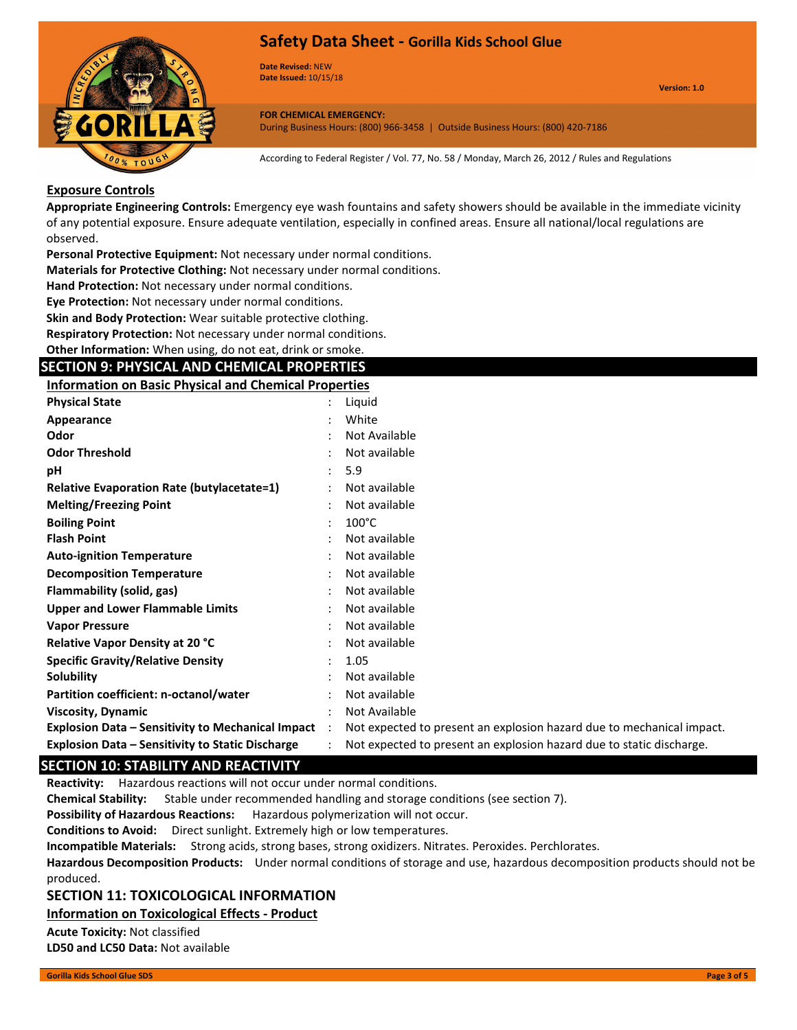

**Date Revised:** NEW **Date Issued:** 10/15/18

**Version: 1.0**

**FOR CHEMICAL EMERGENCY:** During Business Hours: (800) 966-3458 | Outside Business Hours: (800) 420-7186

According to Federal Register / Vol. 77, No. 58 / Monday, March 26, 2012 / Rules and Regulations

### **Exposure Controls**

**Appropriate Engineering Controls:** Emergency eye wash fountains and safety showers should be available in the immediate vicinity of any potential exposure. Ensure adequate ventilation, especially in confined areas. Ensure all national/local regulations are observed.

**Personal Protective Equipment:** Not necessary under normal conditions.

**Materials for Protective Clothing:** Not necessary under normal conditions.

**Hand Protection:** Not necessary under normal conditions.

**Eye Protection:** Not necessary under normal conditions.

**Skin and Body Protection:** Wear suitable protective clothing.

**Respiratory Protection:** Not necessary under normal conditions.

**Other Information:** When using, do not eat, drink or smoke.

### **SECTION 9: PHYSICAL AND CHEMICAL PROPERTIES**

**Information on Basic Physical and Chemical Properties**

| <b>Physical State</b>                                    |                      | Liguid                                                                |
|----------------------------------------------------------|----------------------|-----------------------------------------------------------------------|
| Appearance                                               |                      | White                                                                 |
| Odor                                                     |                      | Not Available                                                         |
| <b>Odor Threshold</b>                                    |                      | Not available                                                         |
| рH                                                       |                      | 5.9                                                                   |
| <b>Relative Evaporation Rate (butylacetate=1)</b>        |                      | Not available                                                         |
| <b>Melting/Freezing Point</b>                            |                      | Not available                                                         |
| <b>Boiling Point</b>                                     |                      | $100^{\circ}$ C                                                       |
| <b>Flash Point</b>                                       |                      | Not available                                                         |
| <b>Auto-ignition Temperature</b>                         |                      | Not available                                                         |
| <b>Decomposition Temperature</b>                         |                      | Not available                                                         |
| Flammability (solid, gas)                                |                      | Not available                                                         |
| <b>Upper and Lower Flammable Limits</b>                  |                      | Not available                                                         |
| <b>Vapor Pressure</b>                                    |                      | Not available                                                         |
| <b>Relative Vapor Density at 20 °C</b>                   |                      | Not available                                                         |
| <b>Specific Gravity/Relative Density</b>                 |                      | 1.05                                                                  |
| Solubility                                               |                      | Not available                                                         |
| Partition coefficient: n-octanol/water                   |                      | Not available                                                         |
| <b>Viscosity, Dynamic</b>                                |                      | Not Available                                                         |
| <b>Explosion Data - Sensitivity to Mechanical Impact</b> | $\ddot{\phantom{a}}$ | Not expected to present an explosion hazard due to mechanical impact. |
| <b>Explosion Data - Sensitivity to Static Discharge</b>  |                      | Not expected to present an explosion hazard due to static discharge.  |

## **SECTION 10: STABILITY AND REACTIVITY**

**Reactivity:** Hazardous reactions will not occur under normal conditions.

**Chemical Stability:** Stable under recommended handling and storage conditions (see section 7).

**Possibility of Hazardous Reactions:** Hazardous polymerization will not occur.

**Conditions to Avoid:** Direct sunlight. Extremely high or low temperatures.

**Incompatible Materials:** Strong acids, strong bases, strong oxidizers. Nitrates. Peroxides. Perchlorates.

**Hazardous Decomposition Products:** Under normal conditions of storage and use, hazardous decomposition products should not be produced.

### **SECTION 11: TOXICOLOGICAL INFORMATION**

**Information on Toxicological Effects - Product**

**Acute Toxicity:** Not classified

**LD50 and LC50 Data:** Not available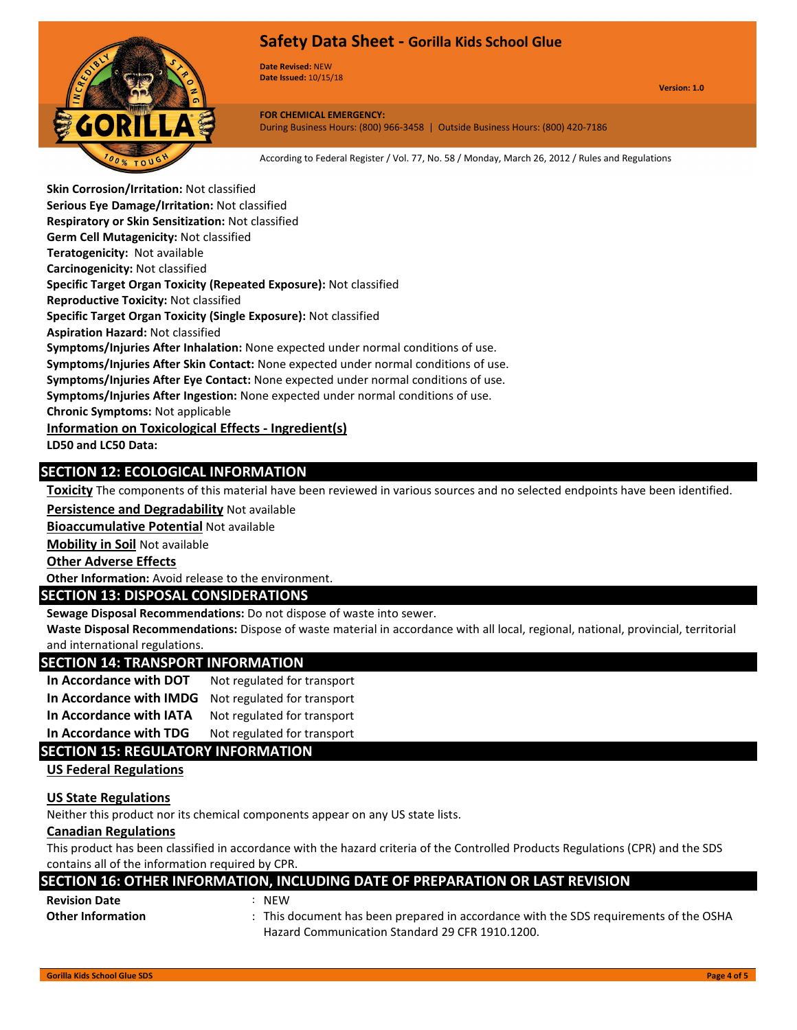

**Date Revised:** NEW **Date Issued:** 10/15/18

**Version: 1.0**

**FOR CHEMICAL EMERGENCY:** During Business Hours: (800) 966-3458 | Outside Business Hours: (800) 420-7186

According to Federal Register / Vol. 77, No. 58 / Monday, March 26, 2012 / Rules and Regulations

**Skin Corrosion/Irritation:** Not classified **Serious Eye Damage/Irritation:** Not classified **Respiratory or Skin Sensitization:** Not classified **Germ Cell Mutagenicity:** Not classified **Teratogenicity:** Not available **Carcinogenicity:** Not classified **Specific Target Organ Toxicity (Repeated Exposure):** Not classified **Reproductive Toxicity:** Not classified **Specific Target Organ Toxicity (Single Exposure):** Not classified **Aspiration Hazard:** Not classified **Symptoms/Injuries After Inhalation:** None expected under normal conditions of use. **Symptoms/Injuries After Skin Contact:** None expected under normal conditions of use. **Symptoms/Injuries After Eye Contact:** None expected under normal conditions of use. **Symptoms/Injuries After Ingestion:** None expected under normal conditions of use. **Chronic Symptoms:** Not applicable **Information on Toxicological Effects - Ingredient(s) LD50 and LC50 Data:**

## **SECTION 12: ECOLOGICAL INFORMATION**

**Toxicity** The components of this material have been reviewed in various sources and no selected endpoints have been identified.

**Persistence and Degradability** Not available

**Bioaccumulative Potential** Not available

**Mobility in Soil** Not available

**Other Adverse Effects**

**Other Information:** Avoid release to the environment.

# **SECTION 13: DISPOSAL CONSIDERATIONS**

**Sewage Disposal Recommendations:** Do not dispose of waste into sewer.

**Waste Disposal Recommendations:** Dispose of waste material in accordance with all local, regional, national, provincial, territorial and international regulations.

### **SECTION 14: TRANSPORT INFORMATION**

| In Accordance with DOT  | Not regulated for transport |
|-------------------------|-----------------------------|
| In Accordance with IMDG | Not regulated for transport |
| In Accordance with IATA | Not regulated for transport |

**In Accordance with TDG** Not regulated for transport

## **SECTION 15: REGULATORY INFORMATION**

**US Federal Regulations**

#### **US State Regulations**

Neither this product nor its chemical components appear on any US state lists.

#### **Canadian Regulations**

This product has been classified in accordance with the hazard criteria of the Controlled Products Regulations (CPR) and the SDS contains all of the information required by CPR.

#### **SECTION 16: OTHER INFORMATION, INCLUDING DATE OF PREPARATION OR LAST REVISION**

| <b>Revision Date</b>                            | $:$ NEW |
|-------------------------------------------------|---------|
| $A + I$ , and $I$ , and $I$ , and $I$ , and $I$ | エレジュー   |

- 
- **Other Information** : This document has been prepared in accordance with the SDS requirements of the OSHA Hazard Communication Standard 29 CFR 1910.1200.